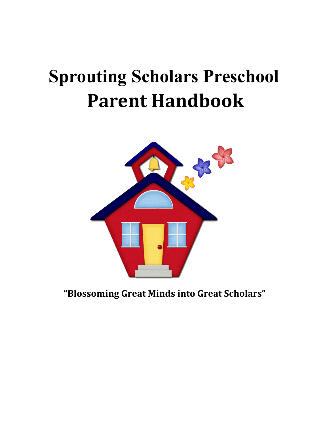# **Sprouting Scholars Preschool Parent Handbook**



**"Blossoming Great Minds into Great Scholars"**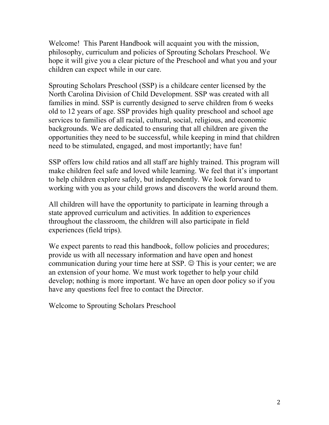Welcome! This Parent Handbook will acquaint you with the mission, philosophy, curriculum and policies of Sprouting Scholars Preschool. We hope it will give you a clear picture of the Preschool and what you and your children can expect while in our care.

Sprouting Scholars Preschool (SSP) is a childcare center licensed by the North Carolina Division of Child Development. SSP was created with all families in mind. SSP is currently designed to serve children from 6 weeks old to 12 years of age. SSP provides high quality preschool and school age services to families of all racial, cultural, social, religious, and economic backgrounds. We are dedicated to ensuring that all children are given the opportunities they need to be successful, while keeping in mind that children need to be stimulated, engaged, and most importantly; have fun!

SSP offers low child ratios and all staff are highly trained. This program will make children feel safe and loved while learning. We feel that it's important to help children explore safely, but independently. We look forward to working with you as your child grows and discovers the world around them.

All children will have the opportunity to participate in learning through a state approved curriculum and activities. In addition to experiences throughout the classroom, the children will also participate in field experiences (field trips).

We expect parents to read this handbook, follow policies and procedures; provide us with all necessary information and have open and honest communication during your time here at SSP.  $\odot$  This is your center; we are an extension of your home. We must work together to help your child develop; nothing is more important. We have an open door policy so if you have any questions feel free to contact the Director.

Welcome to Sprouting Scholars Preschool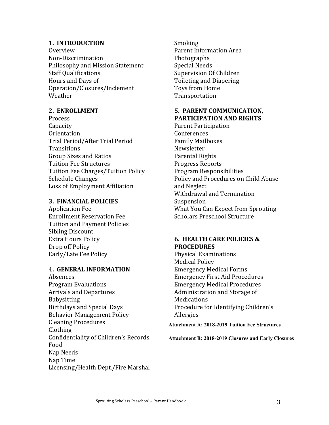# **1. INTRODUCTION**

Overview Non-Discrimination Philosophy and Mission Statement **Staff Qualifications** Hours and Days of Operation/Closures/Inclement Weather

# 2. **ENROLLMENT**

Process Capacity **Orientation** Trial Period/After Trial Period **Transitions** Group Sizes and Ratios Tuition Fee Structures Tuition Fee Charges/Tuition Policy Schedule Changes Loss of Employment Affiliation

# **3. FINANCIAL POLICIES**

Application Fee Enrollment Reservation Fee Tuition and Payment Policies Sibling Discount Extra Hours Policy Drop off Policy Early/Late Fee Policy

# **4. GENERAL INFORMATION**

Absences Program Evaluations Arrivals and Departures Babysitting Birthdays and Special Days **Behavior Management Policy** Cleaning Procedures Clothing Confidentiality of Children's Records Food Nap Needs Nap Time Licensing/Health Dept./Fire Marshal Smoking Parent Information Area Photographs Special Needs Supervision Of Children Toileting and Diapering Toys from Home Transportation

# **5. PARENT COMMUNICATION, PARTICIPATION AND RIGHTS**

Parent Participation Conferences Family Mailboxes Newsletter Parental Rights Progress Reports Program Responsibilities Policy and Procedures on Child Abuse and Neglect Withdrawal and Termination Suspension What You Can Expect from Sprouting Scholars Preschool Structure

# **6. HEALTH CARE POLICIES & PROCEDURES**

Physical Examinations Medical Policy Emergency Medical Forms Emergency First Aid Procedures Emergency Medical Procedures Administration and Storage of Medications Procedure for Identifying Children's Allergies

**Attachment A: 2018-2019 Tuition Fee Structures** 

**Attachment B: 2018-2019 Closures and Early Closures**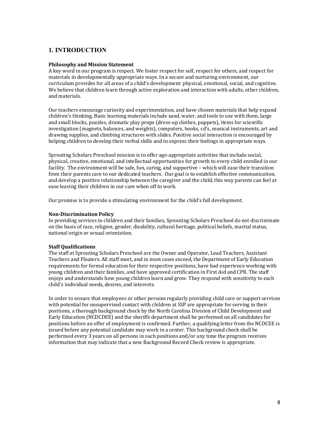# **1. INTRODUCTION**

#### **Philosophy and Mission Statement**

A key word in our program is respect. We foster respect for self, respect for others, and respect for materials in developmentally appropriate ways. In a secure and nurturing environment, our curriculum provides for all areas of a child's development: physical, emotional, social, and cognitive. We believe that children learn through active exploration and interaction with adults, other children, and materials.

Our teachers encourage curiosity and experimentation, and have chosen materials that help expand children's thinking. Basic learning materials include sand, water, and tools to use with them, large and small blocks, puzzles, dramatic play props (dress-up clothes, puppets), items for scientific investigation (magnets, balances, and weights), computers, books, cd's, musical instruments, art and drawing supplies, and climbing structures with slides. Positive social interaction is encouraged by helping children to develop their verbal skills and to express their feelings in appropriate ways.

Sprouting Scholars Preschool mission is to offer age-appropriate activities that include social, physical, creative, emotional, and intellectual opportunities for growth to every child enrolled in our facility. The environment will be safe, fun, caring, and supportive – which will ease their transition from their parents care to our dedicated teachers. Our goal is to establish effective communication, and develop a positive relationship between the caregiver and the child, this way parents can feel at ease leaving their children in our care when off to work.

Our promise is to provide a stimulating environment for the child's full development.

#### **Non-Discrimination Policy**

In providing services to children and their families, Sprouting Scholars Preschool do not discriminate on the basis of race, religion, gender, disability, cultural heritage, political beliefs, marital status, national origin or sexual orientation.

#### **Staff Qualifications**

The staff at Sprouting Scholars Preschool are the Owner and Operator, Lead Teachers, Assistant Teachers and Floaters. All staff meet, and in most cases exceed, the Department of Early Education requirements for formal education for their respective positions, have had experience working with young children and their families, and have approved certification in First Aid and CPR. The staff enjoys and understands how young children learn and grow. They respond with sensitivity to each child's individual needs, desires, and interests.

In order to ensure that employees or other persons regularly providing child care or support services with potential for unsupervised contact with children at SSP are appropriate for serving in their positions, a thorough background check by the North Carolina Division of Child Development and Early Education (NCDCDEE) and the sheriffs department shall be performed on all candidates for positions before an offer of employment is confirmed. Further, a qualifying letter from the NCDCEE is issued before any potential candidate may work in a center. This background check shall be performed every 3 years on all persons in such positions and/or any time the program receives information that may indicate that a new Background Record Check review is appropriate.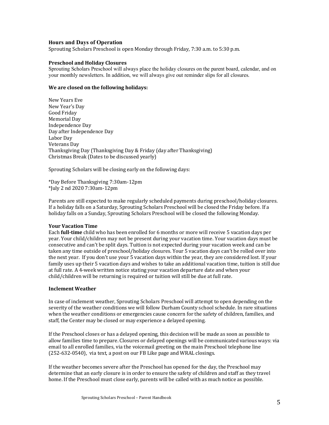#### **Hours and Days of Operation**

Sprouting Scholars Preschool is open Monday through Friday, 7:30 a.m. to 5:30 p.m.

#### **Preschool and Holiday Closures**

Sprouting Scholars Preschool will always place the holiday closures on the parent board, calendar, and on your monthly newsletters. In addition, we will always give out reminder slips for all closures.

#### We are closed on the following holidays:

New Years Eve New Year's Day Good Friday Memorial Dav Independence Day Day after Independence Day Labor Day Veterans Day Thanksgiving Day (Thanksgiving Day & Friday (day after Thanksgiving) Christmas Break (Dates to be discussed yearly)

Sprouting Scholars will be closing early on the following days:

\*Day Before Thanksgiving 7:30am-12pm \*July 2 nd 2020 7:30am-12pm

Parents are still expected to make regularly scheduled payments during preschool/holiday closures. If a holiday falls on a Saturday, Sprouting Scholars Preschool will be closed the Friday before. If a holiday falls on a Sunday, Sprouting Scholars Preschool will be closed the following Monday.

#### **Your Vacation Time**

Each **full-time** child who has been enrolled for 6 months or more will receive 5 vacation days per year. Your child/children may not be present during your vacation time. Your vacation days must be consecutive and can't be split days. Tuition is not expected during your vacation week and can be taken any time outside of preschool/holiday closures. Your 5 vacation days can't be rolled over into the next year. If you don't use your 5 vacation days within the year, they are considered lost. If your family uses up their 5 vacation days and wishes to take an additional vacation time, tuition is still due at full rate. A 4-week written notice stating your vacation departure date and when your child/children will be returning is required or tuition will still be due at full rate.

#### **Inclement Weather**

In case of inclement weather, Sprouting Scholars Preschool will attempt to open depending on the severity of the weather conditions we will follow Durham County school schedule. In rare situations when the weather conditions or emergencies cause concern for the safety of children, families, and staff, the Center may be closed or may experience a delayed opening.

If the Preschool closes or has a delayed opening, this decision will be made as soon as possible to allow families time to prepare. Closures or delayed openings will be communicated various ways: via email to all enrolled families, via the voicemail greeting on the main Preschool telephone line  $(252-632-0540)$ , via text, a post on our FB Like page and WRAL closings.

If the weather becomes severe after the Preschool has opened for the day, the Preschool may determine that an early closure is in order to ensure the safety of children and staff as they travel home. If the Preschool must close early, parents will be called with as much notice as possible.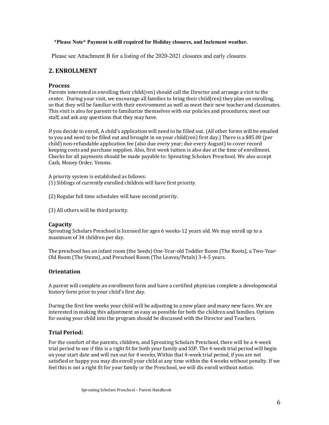#### **\*Please Note\* Payment is still required for Holiday closures, and Inclement weather.**

Please see Attachment B for a listing of the 2020-2021 closures and early closures

# **2. ENROLLMENT**

#### **Process**

Parents interested in enrolling their child(ren) should call the Director and arrange a visit to the center. During your visit, we encourage all families to bring their child(ren) they plan on enrolling, so that they will be familiar with their environment as well as meet their new teacher and classmates. This visit is also for parents to familiarize themselves with our policies and procedures, meet our staff, and ask any questions that they may have.

If you decide to enroll, A child's application will need to be filled out. (All other forms will be emailed to you and need to be filled out and brought in on your child(ren) first day.) There is a \$85.00 (per child) non-refundable application fee (also due every year; due every August) to cover record keeping costs and purchase supplies. Also, first week tuition is also due at the time of enrollment. Checks for all payments should be made payable to: Sprouting Scholars Preschool. We also accept Cash, Money Order, Venmo.

A priority system is established as follows: (1) Siblings of currently enrolled children will have first priority.

(2) Regular full time schedules will have second priority.

(3) All others will be third priority.

#### **Capacity**

Sprouting Scholars Preschool is licensed for ages 6 weeks-12 years old. We may enroll up to a maximum of 34 children per day.

The preschool has an infant room (the Seeds) One-Year-old Toddler Room (The Roots), a Two-Year-Old Room (The Stems), and Preschool Room (The Leaves/Petals) 3-4-5 years.

#### **Orientation**

A parent will complete an enrollment form and have a certified physician complete a developmental history form prior to your child's first day.

During the first few weeks your child will be adjusting to a new place and many new faces. We are interested in making this adjustment as easy as possible for both the children and families. Options for easing your child into the program should be discussed with the Director and Teachers.

#### **Trial Period:**

For the comfort of the parents, children, and Sprouting Scholars Preschool, there will be a 4-week trial period to see if this is a right fit for both your family and SSP. The 4-week trial period will begin on your start date and will run out for 4 weeks. Within that 4-week trial period, if you are not satisfied or happy you may dis enroll your child at any time within the 4 weeks without penalty. If we feel this is not a right fit for your family or the Preschool, we will dis enroll without notice.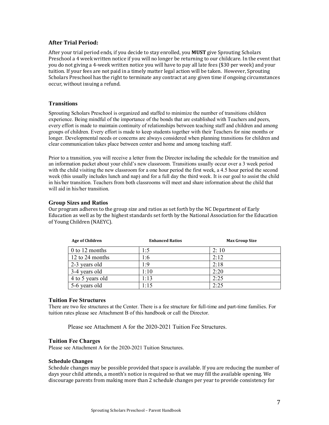#### **After Trial Period:**

After your trial period ends, if you decide to stay enrolled, you **MUST** give Sprouting Scholars Preschool a 4 week written notice if you will no longer be returning to our childcare. In the event that you do not giving a 4-week written notice you will have to pay all late fees (\$30 per week) and your tuition. If your fees are not paid in a timely matter legal action will be taken. However, Sprouting Scholars Preschool has the right to terminate any contract at any given time if ongoing circumstances occur, without issuing a refund.

#### **Transitions**

Sprouting Scholars Preschool is organized and staffed to minimize the number of transitions children experience. Being mindful of the importance of the bonds that are established with Teachers and peers, every effort is made to maintain continuity of relationships between teaching staff and children and among groups of children. Every effort is made to keep students together with their Teachers for nine months or longer. Developmental needs or concerns are always considered when planning transitions for children and clear communication takes place between center and home and among teaching staff.

Prior to a transition, you will receive a letter from the Director including the schedule for the transition and an information packet about your child's new classroom. Transitions usually occur over a 3 week period with the child visiting the new classroom for a one hour period the first week, a 4.5 hour period the second week (this usually includes lunch and nap) and for a full day the third week. It is our goal to assist the child in his/her transition. Teachers from both classrooms will meet and share information about the child that will aid in his/her transition.

#### **Group Sizes and Ratios**

Our program adheres to the group size and ratios as set forth by the NC Department of Early Education as well as by the highest standards set forth by the National Association for the Education of Young Children (NAEYC).

| <b>Age of Children</b> | <b>Enhanced Ratios</b> | <b>Max Group Size</b> |
|------------------------|------------------------|-----------------------|
| $0$ to 12 months       | 5: ،                   | 2:10                  |
| 12 to 24 months        | 1:6                    | 2:12                  |
| 2-3 years old          | 9:،                    | 2:18                  |
| 3-4 years old          | 1:10                   | 2:20                  |
| 4 to 5 years old       | 1:13                   | 2:25                  |
| 5-6 years old          | 1:15                   | 2:25                  |

#### **Tuition Fee Structures**

There are two fee structures at the Center. There is a fee structure for full-time and part-time families. For tuition rates please see Attachment B of this handbook or call the Director.

Please see Attachment A for the 2020-2021 Tuition Fee Structures.

#### **Tuition Fee Charges**

Please see Attachment A for the 2020-2021 Tuition Structures.

#### **Schedule Changes**

Schedule changes may be possible provided that space is available. If you are reducing the number of days your child attends, a month's notice is required so that we may fill the available opening. We discourage parents from making more than 2 schedule changes per year to provide consistency for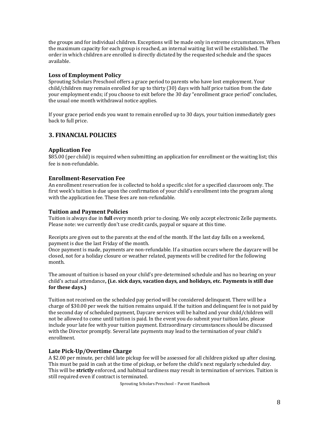the groups and for individual children. Exceptions will be made only in extreme circumstances. When the maximum capacity for each group is reached, an internal waiting list will be established. The order in which children are enrolled is directly dictated by the requested schedule and the spaces available. 

# Loss of Employment Policy

Sprouting Scholars Preschool offers a grace period to parents who have lost employment. Your child/children may remain enrolled for up to thirty (30) days with half price tuition from the date your employment ends; if you choose to exit before the 30 day "enrollment grace period" concludes, the usual one month withdrawal notice applies.

If your grace period ends you want to remain enrolled up to 30 days, your tuition immediately goes back to full price.

# **3. FINANCIAL POLICIES**

# **Application Fee**

\$85.00 (per child) is required when submitting an application for enrollment or the waiting list; this fee is non-refundable.

#### **Enrollment-Reservation Fee**

An enrollment reservation fee is collected to hold a specific slot for a specified classroom only. The first week's tuition is due upon the confirmation of your child's enrollment into the program along with the application fee. These fees are non-refundable.

#### **Tuition and Payment Policies**

Tuition is always due in **full** every month prior to closing. We only accept electronic Zelle payments. Please note: we currently don't use credit cards, paypal or square at this time.

Receipts are given out to the parents at the end of the month. If the last day falls on a weekend, payment is due the last Friday of the month.

Once payment is made, payments are non-refundable. If a situation occurs where the daycare will be closed, not for a holiday closure or weather related, payments will be credited for the following month. 

The amount of tuition is based on your child's pre-determined schedule and has no bearing on your child's actual attendance, (i.e. sick days, vacation days, and holidays, etc. Payments is still due for these days.)

Tuition not received on the scheduled pay period will be considered delinquent. There will be a charge of \$30.00 per week the tuition remains unpaid. If the tuition and delinquent fee is not paid by the second day of scheduled payment, Daycare services will be halted and your child/children will not be allowed to come until tuition is paid. In the event you do submit your tuition late, please include your late fee with your tuition payment. Extraordinary circumstances should be discussed with the Director promptly. Several late payments may lead to the termination of your child's enrollment. 

#### Late Pick-Up/Overtime Charge

A \$2.00 per minute, per child late pickup fee will be assessed for all children picked up after closing. This must be paid in cash at the time of pickup, or before the child's next regularly scheduled day. This will be **strictly** enforced, and habitual tardiness may result in termination of services. Tuition is still required even if contract is terminated.

Sprouting Scholars Preschool - Parent Handbook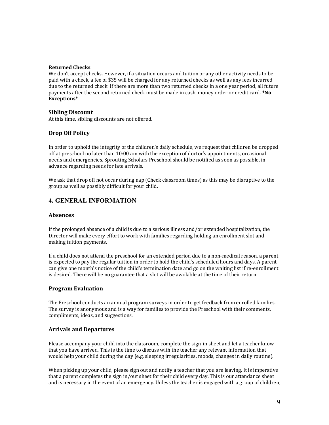#### **Returned Checks**

We don't accept checks. However, if a situation occurs and tuition or any other activity needs to be paid with a check, a fee of \$35 will be charged for any returned checks as well as any fees incurred due to the returned check. If there are more than two returned checks in a one year period, all future payments after the second returned check must be made in cash, money order or credit card. \*No **Exceptions\*** 

#### **Sibling Discount**

At this time, sibling discounts are not offered.

#### **Drop Off Policy**

In order to uphold the integrity of the children's daily schedule, we request that children be dropped off at preschool no later than 10:00 am with the exception of doctor's appointments, occasional needs and emergencies. Sprouting Scholars Preschool should be notified as soon as possible, in advance regarding needs for late arrivals.

We ask that drop off not occur during nap (Check classroom times) as this may be disruptive to the group as well as possibly difficult for your child.

# **4. GENERAL INFORMATION**

#### **Absences**

If the prolonged absence of a child is due to a serious illness and/or extended hospitalization, the Director will make every effort to work with families regarding holding an enrollment slot and making tuition payments.

If a child does not attend the preschool for an extended period due to a non-medical reason, a parent is expected to pay the regular tuition in order to hold the child's scheduled hours and days. A parent can give one month's notice of the child's termination date and go on the waiting list if re-enrollment is desired. There will be no guarantee that a slot will be available at the time of their return.

#### **Program Evaluation**

The Preschool conducts an annual program surveys in order to get feedback from enrolled families. The survey is anonymous and is a way for families to provide the Preschool with their comments, compliments, ideas, and suggestions.

#### **Arrivals and Departures**

Please accompany your child into the classroom, complete the sign-in sheet and let a teacher know that you have arrived. This is the time to discuss with the teacher any relevant information that would help your child during the day (e.g. sleeping irregularities, moods, changes in daily routine).

When picking up your child, please sign out and notify a teacher that you are leaving. It is imperative that a parent completes the sign in/out sheet for their child every day. This is our attendance sheet and is necessary in the event of an emergency. Unless the teacher is engaged with a group of children,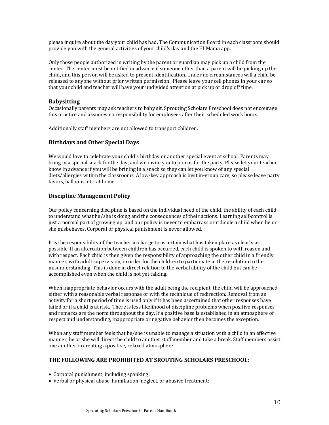please inquire about the day your child has had. The Communication Board in each classroom should provide you with the general activities of your child's day and the HI Mama app.

Only those people authorized in writing by the parent or guardian may pick up a child from the center. The center must be notified in advance if someone other than a parent will be picking up the child, and this person will be asked to present identification. Under no circumstances will a child be released to anyone without prior written permission. Please leave your cell phones in your car so that your child and teacher will have your undivided attention at pick up or drop off time.

#### **Babysitting**

Occasionally parents may ask teachers to baby sit. Sprouting Scholars Preschool does not encourage this practice and assumes no responsibility for employees after their scheduled work hours.

Additionally staff members are not allowed to transport children.

#### **Birthdays and Other Special Days**

We would love to celebrate your child's birthday or another special event at school. Parents may bring in a special snack for the day, and we invite you to join us for the party. Please let your teacher know in advance if you will be brining in a snack so they can let you know of any special diets/allergies within the classrooms. A low-key approach is best in-group care, so please leave party favors, balloons, etc. at home.

#### **Discipline Management Policy**

Our policy concerning discipline is based on the individual need of the child, the ability of each child to understand what he/she is doing and the consequences of their actions. Learning self-control is just a normal part of growing up, and our policy is never to embarrass or ridicule a child when he or she misbehaves. Corporal or physical punishment is never allowed.

It is the responsibility of the teacher in charge to ascertain what has taken place as clearly as possible. If an altercation between children has occurred, each child is spoken to with reason and with respect. Each child is then given the responsibility of approaching the other child in a friendly manner, with adult supervision, in order for the children to participate in the resolution to the misunderstanding. This is done in direct relation to the verbal ability of the child but can be accomplished even when the child is not yet talking.

When inappropriate behavior occurs with the adult being the recipient, the child will be approached either with a reasonable verbal response or with the technique of redirection. Removal from an activity for a short period of time is used only if it has been ascertained that other responses have failed or if a child is at risk. There is less likelihood of discipline problems when positive responses and remarks are the norm throughout the day. If a positive base is established in an atmosphere of respect and understanding, inappropriate or negative behavior then becomes the exception.

When any staff member feels that he/she is unable to manage a situation with a child in an effective manner, he or she will direct the child to another staff member and take a break. Staff members assist one another in creating a positive, relaxed atmosphere.

#### **THE FOLLOWING ARE PROHIBITED AT SROUTING SCHOLARS PRESCHOOL:**

- $\bullet$  Corporal punishment, including spanking;
- Verbal or physical abuse, humiliation, neglect, or abusive treatment;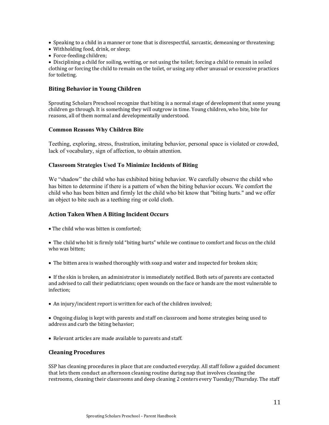- Speaking to a child in a manner or tone that is disrespectful, sarcastic, demeaning or threatening;
- Withholding food, drink, or sleep;
- Force-feeding children;

• Disciplining a child for soiling, wetting, or not using the toilet; forcing a child to remain in soiled clothing or forcing the child to remain on the toilet, or using any other unusual or excessive practices for toileting.

#### **Biting Behavior in Young Children**

Sprouting Scholars Preschool recognize that biting is a normal stage of development that some young children go through. It is something they will outgrow in time. Young children, who bite, bite for reasons, all of them normal and developmentally understood.

#### **Common Reasons Why Children Bite**

Teething, exploring, stress, frustration, imitating behavior, personal space is violated or crowded, lack of vocabulary, sign of affection, to obtain attention.

#### **Classroom Strategies Used To Minimize Incidents of Biting**

We "shadow" the child who has exhibited biting behavior. We carefully observe the child who has bitten to determine if there is a pattern of when the biting behavior occurs. We comfort the child who has been bitten and firmly let the child who bit know that "biting hurts." and we offer an object to bite such as a teething ring or cold cloth.

#### **Action Taken When A Biting Incident Occurs**

• The child who was bitten is comforted:

• The child who bit is firmly told "biting hurts" while we continue to comfort and focus on the child who was bitten:

• The bitten area is washed thoroughly with soap and water and inspected for broken skin;

• If the skin is broken, an administrator is immediately notified. Both sets of parents are contacted and advised to call their pediatricians; open wounds on the face or hands are the most vulnerable to infection; 

- An injury/incident report is written for each of the children involved;
- Ongoing dialog is kept with parents and staff on classroom and home strategies being used to address and curb the biting behavior;
- Relevant articles are made available to parents and staff.

#### **Cleaning Procedures**

SSP has cleaning procedures in place that are conducted everyday. All staff follow a guided document that lets them conduct an afternoon cleaning routine during nap that involves cleaning the restrooms, cleaning their classrooms and deep cleaning 2 centers every Tuesday/Thursday. The staff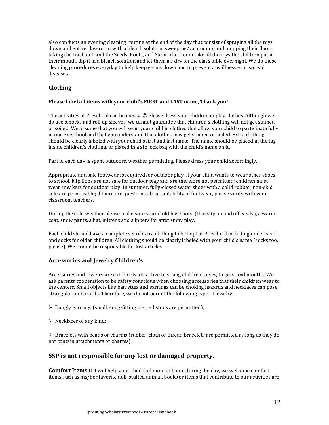also conducts an evening cleaning routine at the end of the day that consist of spraying all the toys down and entire classroom with a bleach solution, sweeping/vacuuming and mopping their floors, taking the trash out, and the Seeds, Roots, and Stems classroom take all the toys the children put in their mouth, dip it in a bleach solution and let them air dry on the class table overnight. We do these cleaning procedures everyday to help keep germs down and to prevent any illnesses or spread diseases.

# **Clothing**

#### Please label all items with your child's FIRST and LAST name, Thank you!

The activities at Preschool can be messy.  $\odot$  Please dress your children in play clothes. Although we do use smocks and roll up sleeves, we cannot guarantee that children's clothing will not get stained or soiled. We assume that you will send your child in clothes that allow your child to participate fully in our Preschool and that you understand that clothes may get stained or soiled. Extra clothing should be clearly labeled with your child's first and last name. The name should be placed in the tag inside children's clothing, or placed in a zip lock bag with the child's name on it.

Part of each day is spent outdoors, weather permitting. Please dress your child accordingly.

Appropriate and safe footwear is required for outdoor play. If your child wants to wear other shoes to school, Flip flops are not safe for outdoor play and are therefore not permitted; children must wear sneakers for outdoor play; in summer, fully-closed water shoes with a solid rubber, non-skid sole are permissible; if there are questions about suitability of footwear, please verify with your classroom teachers. 

During the cold weather please make sure your child has boots, (that slip on and off easily), a warm coat, snow pants, a hat, mittens and slippers for after snow play.

Each child should have a complete set of extra clothing to be kept at Preschool including underwear and socks for older children. All clothing should be clearly labeled with your child's name (socks too, please). We cannot be responsible for lost articles.

#### **Accessories and Jewelry Children's**

Accessories and jewelry are extremely attractive to young children's eyes, fingers, and mouths. We ask parents cooperation to be safety conscious when choosing accessories that their children wear to the centers. Small objects like barrettes and earrings can be choking hazards and necklaces can pose strangulation hazards. Therefore, we do not permit the following type of jewelry:

- $\triangleright$  Dangly earrings (small, snug-fitting pierced studs are permitted);
- $\triangleright$  Necklaces of any kind;

 $\triangleright$  Bracelets with beads or charms (rubber, cloth or thread bracelets are permitted as long as they do not contain attachments or charms).

# **SSP** is not responsible for any lost or damaged property.

**Comfort Items** If it will help your child feel more at home during the day, we welcome comfort items such as his/her favorite doll, stuffed animal, books or items that contribute to our activities are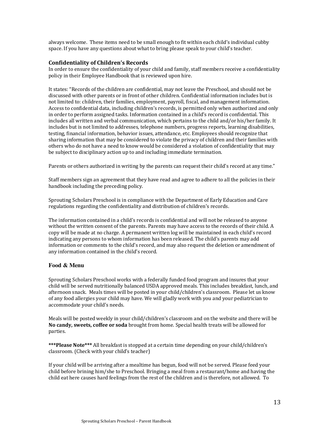always welcome. These items need to be small enough to fit within each child's individual cubby space. If you have any questions about what to bring please speak to your child's teacher.

#### **Confidentiality of Children's Records**

In order to ensure the confidentiality of your child and family, staff members receive a confidentiality policy in their Employee Handbook that is reviewed upon hire.

It states: "Records of the children are confidential, may not leave the Preschool, and should not be discussed with other parents or in front of other children. Confidential information includes but is not limited to: children, their families, employment, payroll, fiscal, and management information. Access to confidential data, including children's records, is permitted only when authorized and only in order to perform assigned tasks. Information contained in a child's record is confidential. This includes all written and verbal communication, which pertains to the child and/or his/her family. It includes but is not limited to addresses, telephone numbers, progress reports, learning disabilities, testing, financial information, behavior issues, attendance, etc. Employees should recognize that sharing information that may be considered to violate the privacy of children and their families with others who do not have a need to know would be considered a violation of confidentiality that may be subject to disciplinary action up to and including immediate termination.

Parents or others authorized in writing by the parents can request their child's record at any time."

Staff members sign an agreement that they have read and agree to adhere to all the policies in their handbook including the preceding policy.

Sprouting Scholars Preschool is in compliance with the Department of Early Education and Care regulations regarding the confidentiality and distribution of children's records.

The information contained in a child's records is confidential and will not be released to anyone without the written consent of the parents. Parents may have access to the records of their child. A copy will be made at no charge. A permanent written log will be maintained in each child's record indicating any persons to whom information has been released. The child's parents may add information or comments to the child's record, and may also request the deletion or amendment of any information contained in the child's record.

#### **Food & Menu**

Sprouting Scholars Preschool works with a federally funded food program and insures that your child will be served nutritionally balanced USDA approved meals. This includes breakfast, lunch, and afternoon snack. Meals times will be posted in your child/children's classroom. Please let us know of any food allergies your child may have. We will gladly work with you and your pediatrician to accommodate your child's needs.

Meals will be posted weekly in your child/children's classroom and on the website and there will be No candy, sweets, coffee or soda brought from home. Special health treats will be allowed for parties. 

\*\*\*Please Note\*\*\* All breakfast is stopped at a certain time depending on your child/children's classroom. (Check with your child's teacher)

If your child will be arriving after a mealtime has begun, food will not be served. Please feed your child before brining him/she to Preschool. Bringing a meal from a restaurant/home and having the child eat here causes hard feelings from the rest of the children and is therefore, not allowed. To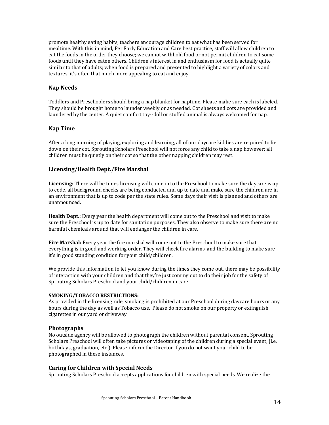promote healthy eating habits, teachers encourage children to eat what has been served for mealtime. With this in mind, Per Early Education and Care best practice, staff will allow children to eat the foods in the order they choose; we cannot withhold food or not permit children to eat some foods until they have eaten others. Children's interest in and enthusiasm for food is actually quite similar to that of adults; when food is prepared and presented to highlight a variety of colors and textures, it's often that much more appealing to eat and enjoy.

#### **Nap Needs**

Toddlers and Preschoolers should bring a nap blanket for naptime. Please make sure each is labeled. They should be brought home to launder weekly or as needed. Cot sheets and cots are provided and laundered by the center. A quiet comfort toy--doll or stuffed animal is always welcomed for nap.

#### **Nap Time**

After a long morning of playing, exploring and learning, all of our daycare kiddies are required to lie down on their cot. Sprouting Scholars Preschool will not force any child to take a nap however; all children must lie quietly on their cot so that the other napping children may rest.

#### **Licensing/Health Dept./Fire Marshal**

**Licensing:** There will be times licensing will come in to the Preschool to make sure the daycare is up to code, all background checks are being conducted and up to date and make sure the children are in an environment that is up to code per the state rules. Some days their visit is planned and others are unannounced.

**Health Dept.:** Every year the health department will come out to the Preschool and visit to make sure the Preschool is up to date for sanitation purposes. They also observe to make sure there are no harmful chemicals around that will endanger the children in care.

**Fire Marshal:** Every year the fire marshal will come out to the Preschool to make sure that everything is in good and working order. They will check fire alarms, and the building to make sure it's in good standing condition for your child/children.

We provide this information to let you know during the times they come out, there may be possibility of interaction with your children and that they're just coming out to do their job for the safety of Sprouting Scholars Preschool and your child/children in care.

#### **SMOKING/TOBACCO RESTRICTIONS:**

As provided in the licensing rule, smoking is prohibited at our Preschool during daycare hours or any hours during the day as well as Tobacco use. Please do not smoke on our property or extinguish cigarettes in our vard or driveway.

#### **Photographs**

No outside agency will be allowed to photograph the children without parental consent. Sprouting Scholars Preschool will often take pictures or videotaping of the children during a special event, (i.e. birthdays, graduation, etc.). Please inform the Director if you do not want your child to be photographed in these instances.

#### **Caring for Children with Special Needs**

Sprouting Scholars Preschool accepts applications for children with special needs. We realize the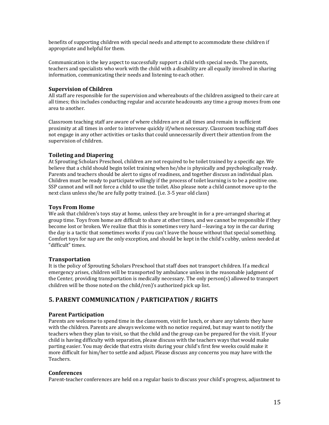benefits of supporting children with special needs and attempt to accommodate these children if appropriate and helpful for them.

Communication is the key aspect to successfully support a child with special needs. The parents, teachers and specialists who work with the child with a disability are all equally involved in sharing information, communicating their needs and listening to each other.

#### **Supervision of Children**

All staff are responsible for the supervision and whereabouts of the children assigned to their care at all times; this includes conducting regular and accurate headcounts any time a group moves from one area to another.

Classroom teaching staff are aware of where children are at all times and remain in sufficient proximity at all times in order to intervene quickly if/when necessary. Classroom teaching staff does not engage in any other activities or tasks that could unnecessarily divert their attention from the supervision of children.

# **Toileting and Diapering**

At Sprouting Scholars Preschool, children are not required to be toilet trained by a specific age. We believe that a child should begin toilet training when he/she is physically and psychologically ready. Parents and teachers should be alert to signs of readiness, and together discuss an individual plan. Children must be ready to participate willingly if the process of toilet learning is to be a positive one. SSP cannot and will not force a child to use the toilet. Also please note a child cannot move up to the next class unless she/he are fully potty trained. (i.e. 3-5 year old class)

#### **Toys From Home**

We ask that children's toys stay at home, unless they are brought in for a pre-arranged sharing at group time. Toys from home are difficult to share at other times, and we cannot be responsible if they become lost or broken. We realize that this is sometimes very hard --leaving a toy in the car during the day is a tactic that sometimes works if you can't leave the house without that special something. Comfort toys for nap are the only exception, and should be kept in the child's cubby, unless needed at "difficult" times.

#### **Transportation**

It is the policy of Sprouting Scholars Preschool that staff does not transport children. If a medical emergency arises, children will be transported by ambulance unless in the reasonable judgment of the Center, providing transportation is medically necessary. The only  $person(s)$  allowed to transport children will be those noted on the child/ren)'s authorized pick up list.

# **5. PARENT COMMUNICATION / PARTICIPATION / RIGHTS**

#### **Parent Participation**

Parents are welcome to spend time in the classroom, visit for lunch, or share any talents they have with the children. Parents are always welcome with no notice required, but may want to notify the teachers when they plan to visit, so that the child and the group can be prepared for the visit. If your child is having difficulty with separation, please discuss with the teachers ways that would make parting easier. You may decide that extra visits during your child's first few weeks could make it more difficult for him/her to settle and adjust. Please discuss any concerns you may have with the Teachers.

#### **Conferences**

Parent-teacher conferences are held on a regular basis to discuss your child's progress, adjustment to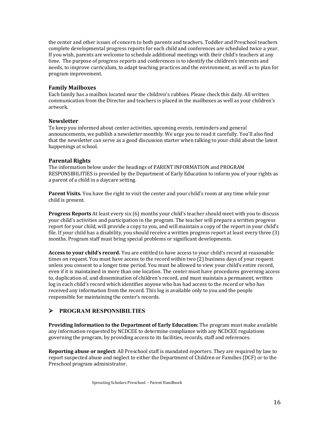the center and other issues of concern to both parents and teachers. Toddler and Preschool teachers complete developmental progress reports for each child and conferences are scheduled twice a year. If you wish, parents are welcome to schedule additional meetings with their child's teachers at any time. The purpose of progress reports and conferences is to identify the children's interests and needs, to improve curriculum, to adapt teaching practices and the environment, as well as to plan for program improvement.

#### **Family Mailboxes**

Each family has a mailbox located near the children's cubbies. Please check this daily. All written communication from the Director and teachers is placed in the mailboxes as well as your children's artwork.

#### **Newsletter**

To keep you informed about center activities, upcoming events, reminders and general announcements, we publish a newsletter monthly. We urge you to read it carefully. You'll also find that the newsletter can serve as a good discussion starter when talking to your child about the latest happenings at school.

#### **Parental Rights**

The information below under the headings of PARENT INFORMATION and PROGRAM RESPONSIBILITIES is provided by the Department of Early Education to inform you of your rights as a parent of a child in a daycare setting.

**Parent Visits.** You have the right to visit the center and your child's room at any time while your child is present.

**Progress Reports** At least every six (6) months your child's teacher should meet with you to discuss your child's activities and participation in the program. The teacher will prepare a written progress report for your child, will provide a copy to you, and will maintain a copy of the report in your child's file. If your child has a disability, you should receive a written progress report at least every three  $(3)$ months. Program staff must bring special problems or significant developments.

Access to your child's record. You are entitled to have access to your child's record at reasonable times on request. You must have access to the record within two  $(2)$  business days of your request unless you consent to a longer time period. You must be allowed to view your child's entire record, even if it is maintained in more than one location. The center must have procedures governing access to, duplication of, and dissemination of children's record, and must maintain a permanent, written log in each child's record which identifies anyone who has had access to the record or who has received any information from the record. This log is available only to you and the people responsible for maintaining the center's records.

# Ø **PROGRAM RESPONSIBILTIES**

**Providing Information to the Department of Early Education:** The program must make available any information requested by NCDCEE to determine compliance with any NCDCEE regulations governing the program, by providing access to its facilities, records, staff and references.

**Reporting abuse or neglect:** All Preschool staff is mandated reporters. They are required by law to report suspected abuse and neglect to either the Department of Children or Families (DCF) or to the Preschool program administrator.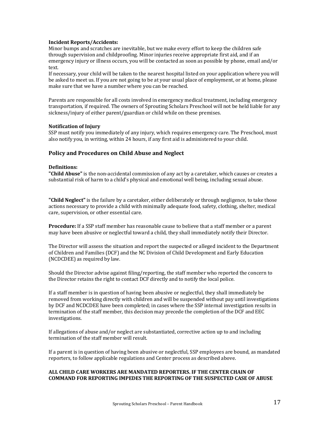#### **Incident Reports/Accidents:**

Minor bumps and scratches are inevitable, but we make every effort to keep the children safe through supervision and childproofing. Minor injuries receive appropriate first aid, and if an emergency injury or illness occurs, you will be contacted as soon as possible by phone, email and/or text. 

If necessary, your child will be taken to the nearest hospital listed on your application where you will be asked to meet us. If you are not going to be at your usual place of employment, or at home, please make sure that we have a number where you can be reached.

Parents are responsible for all costs involved in emergency medical treatment, including emergency transportation, if required. The owners of Sprouting Scholars Preschool will not be held liable for any sickness/injury of either parent/guardian or child while on these premises.

#### **Notification of Injury**

SSP must notify you immediately of any injury, which requires emergency care. The Preschool, must also notify you, in writing, within 24 hours, if any first aid is administered to your child.

#### Policy and Procedures on Child Abuse and Neglect

#### **Definitions:**

**"Child Abuse"** is the non-accidental commission of any act by a caretaker, which causes or creates a substantial risk of harm to a child's physical and emotional well being, including sexual abuse.

**"Child Neglect"** is the failure by a caretaker, either deliberately or through negligence, to take those actions necessary to provide a child with minimally adequate food, safety, clothing, shelter, medical care, supervision, or other essential care.

**Procedure:** If a SSP staff member has reasonable cause to believe that a staff member or a parent may have been abusive or neglectful toward a child, they shall immediately notify their Director.

The Director will assess the situation and report the suspected or alleged incident to the Department of Children and Families (DCF) and the NC Division of Child Development and Early Education (NCDCDEE) as required by law.

Should the Director advise against filing/reporting, the staff member who reported the concern to the Director retains the right to contact DCF directly and to notify the local police.

If a staff member is in question of having been abusive or neglectful, they shall immediately be removed from working directly with children and will be suspended without pay until investigations by DCF and NCDCDEE have been completed; in cases where the SSP internal investigation results in termination of the staff member, this decision may precede the completion of the DCF and EEC investigations. 

If allegations of abuse and/or neglect are substantiated, corrective action up to and including termination of the staff member will result.

If a parent is in question of having been abusive or neglectful, SSP employees are bound, as mandated reporters, to follow applicable regulations and Center process as described above.

#### **ALL CHILD CARE WORKERS ARE MANDATED REPORTERS. IF THE CENTER CHAIN OF COMMAND FOR REPORTING IMPEDES THE REPORTING OF THE SUSPECTED CASE OF ABUSE**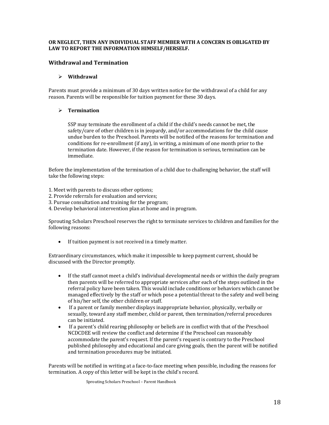#### OR NEGLECT, THEN ANY INDIVIDUAL STAFF MEMBER WITH A CONCERN IS OBLIGATED BY LAW TO REPORT THE INFORMATION HIMSELF/HERSELF.

#### **Withdrawal and Termination**

#### Ø **Withdrawal**

Parents must provide a minimum of 30 days written notice for the withdrawal of a child for any reason. Parents will be responsible for tuition payment for these 30 days.

#### Ø **Termination**

SSP may terminate the enrollment of a child if the child's needs cannot be met, the  $s$ afety/care of other children is in jeopardy, and/or accommodations for the child cause undue burden to the Preschool. Parents will be notified of the reasons for termination and conditions for re-enrollment (if any), in writing, a minimum of one month prior to the termination date. However, if the reason for termination is serious, termination can be immediate. 

Before the implementation of the termination of a child due to challenging behavior, the staff will take the following steps:

1. Meet with parents to discuss other options:

- 2. Provide referrals for evaluation and services;
- 3. Pursue consultation and training for the program;
- 4. Develop behavioral intervention plan at home and in program.

Sprouting Scholars Preschool reserves the right to terminate services to children and families for the following reasons:

• If tuition payment is not received in a timely matter.

Extraordinary circumstances, which make it impossible to keep payment current, should be discussed with the Director promptly.

- If the staff cannot meet a child's individual developmental needs or within the daily program then parents will be referred to appropriate services after each of the steps outlined in the referral policy have been taken. This would include conditions or behaviors which cannot be managed effectively by the staff or which pose a potential threat to the safety and well being of his/her self, the other children or staff.
- If a parent or family member displays inappropriate behavior, physically, verbally or sexually, toward any staff member, child or parent, then termination/referral procedures can be initiated.
- If a parent's child rearing philosophy or beliefs are in conflict with that of the Preschool NCDCDEE will review the conflict and determine if the Preschool can reasonably accommodate the parent's request. If the parent's request is contrary to the Preschool published philosophy and educational and care giving goals, then the parent will be notified and termination procedures may be initiated.

Parents will be notified in writing at a face-to-face meeting when possible, including the reasons for termination. A copy of this letter will be kept in the child's record.

Sprouting Scholars Preschool - Parent Handbook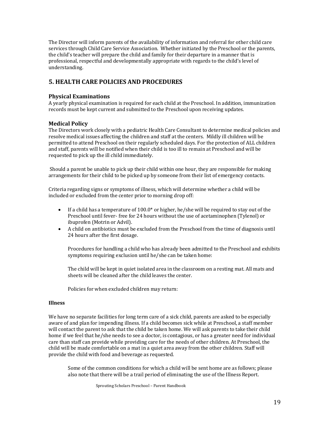The Director will inform parents of the availability of information and referral for other child care services through Child Care Service Association. Whether initiated by the Preschool or the parents, the child's teacher will prepare the child and family for their departure in a manner that is professional, respectful and developmentally appropriate with regards to the child's level of understanding. 

# **5. HEALTH CARE POLICIES AND PROCEDURES**

#### **Physical Examinations**

A yearly physical examination is required for each child at the Preschool. In addition, immunization records must be kept current and submitted to the Preschool upon receiving updates.

#### **Medical Policy**

The Directors work closely with a pediatric Health Care Consultant to determine medical policies and resolve medical issues affecting the children and staff at the centers. Mildly ill children will be permitted to attend Preschool on their regularly scheduled days. For the protection of ALL children and staff, parents will be notified when their child is too ill to remain at Preschool and will be requested to pick up the ill child immediately.

Should a parent be unable to pick up their child within one hour, they are responsible for making arrangements for their child to be picked up by someone from their list of emergency contacts.

Criteria regarding signs or symptoms of illness, which will determine whether a child will be included or excluded from the center prior to morning drop off:

- If a child has a temperature of 100.0\* or higher, he/she will be required to stay out of the Preschool until fever- free for 24 hours without the use of acetaminophen (Tylenol) or ibuprofen (Motrin or Advil).
- A child on antibiotics must be excluded from the Preschool from the time of diagnosis until 24 hours after the first dosage.

Procedures for handling a child who has already been admitted to the Preschool and exhibits symptoms requiring exclusion until he/she can be taken home:

The child will be kept in quiet isolated area in the classroom on a resting mat. All mats and sheets will be cleaned after the child leaves the center.

Policies for when excluded children may return:

#### **Illness**

We have no separate facilities for long term care of a sick child, parents are asked to be especially aware of and plan for impending illness. If a child becomes sick while at Preschool, a staff member will contact the parent to ask that the child be taken home. We will ask parents to take their child home if we feel that he/she needs to see a doctor, is contagious, or has a greater need for individual care than staff can provide while providing care for the needs of other children. At Preschool, the child will be made comfortable on a mat in a quiet area away from the other children. Staff will provide the child with food and beverage as requested.

Some of the common conditions for which a child will be sent home are as follows; please also note that there will be a trail period of eliminating the use of the Illness Report.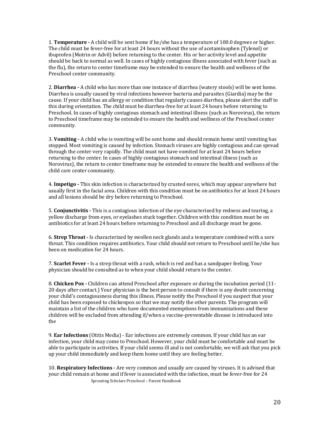1. **Temperature** - A child will be sent home if he/she has a temperature of 100.0 degrees or higher. The child must be fever-free for at least 24 hours without the use of acetaminophen (Tylenol) or ibuprofen (Motrin or Advil) before returning to the center. His or her activity level and appetite should be back to normal as well. In cases of highly contagious illness associated with fever (such as the flu), the return to center timeframe may be extended to ensure the health and wellness of the Preschool center community.

2. **Diarrhea** - A child who has more than one instance of diarrhea (watery stools) will be sent home. Diarrhea is usually caused by viral infections however bacteria and parasites (Giardia) may be the cause. If your child has an allergy or condition that regularly causes diarrhea, please alert the staff to this during orientation. The child must be diarrhea-free for at least 24 hours before returning to Preschool. In cases of highly contagious stomach and intestinal illness (such as Norovirus), the return to Preschool timeframe may be extended to ensure the health and wellness of the Preschool center community. 

3. **Vomiting** - A child who is vomiting will be sent home and should remain home until vomiting has stopped. Most vomiting is caused by infection. Stomach viruses are highly contagious and can spread through the center very rapidly. The child must not have vomited for at least 24 hours before returning to the center. In cases of highly contagious stomach and intestinal illness (such as Norovirus), the return to center timeframe may be extended to ensure the health and wellness of the child care center community.

4. **Impetigo** - This skin infection is characterized by crusted sores, which may appear anywhere but usually first in the facial area. Children with this condition must be on antibiotics for at least 24 hours and all lesions should be dry before returning to Preschool.

5. **Conjunctivitis** - This is a contagious infection of the eye characterized by redness and tearing, a yellow discharge from eyes, or eyelashes stuck together. Children with this condition must be on antibiotics for at least 24 hours before returning to Preschool and all discharge must be gone.

6. **Strep Throat** - Is characterized by swollen neck glands and a temperature combined with a sore throat. This condition requires antibiotics. Your child should not return to Preschool until he/she has been on medication for 24 hours.

7. **Scarlet Fever** - Is a strep throat with a rash, which is red and has a sandpaper feeling. Your physician should be consulted as to when your child should return to the center.

8. **Chicken Pox** - Children can attend Preschool after exposure or during the incubation period (11-20 days after contact.) Your physician is the best person to consult if there is any doubt concerning your child's contagiousness during this illness. Please notify the Preschool if you suspect that your child has been exposed to chickenpox so that we may notify the other parents. The program will maintain a list of the children who have documented exemptions from immunizations and these children will be excluded from attending if/when a vaccine-preventable disease is introduced into the 

9. **Ear Infections** (Otitis Media) - Ear infections are extremely common. If your child has an ear infection, your child may come to Preschool. However, your child must be comfortable and must be able to participate in activities. If your child seems ill and is not comfortable, we will ask that you pick up your child immediately and keep them home until they are feeling better.

10. **Respiratory Infections** - Are very common and usually are caused by viruses. It is advised that your child remain at home and if fever is associated with the infection, must be fever-free for 24 Sprouting Scholars Preschool - Parent Handbook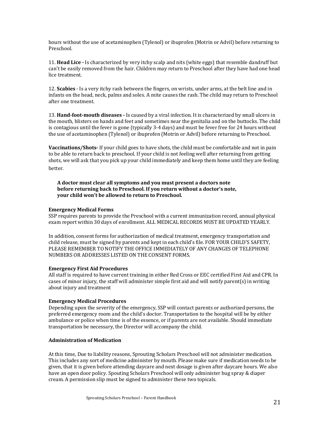hours without the use of acetaminophen (Tylenol) or ibuprofen (Motrin or Advil) before returning to Preschool. 

11. **Head Lice** - Is characterized by very itchy scalp and nits (white eggs) that resemble dandruff but can't be easily removed from the hair. Children may return to Preschool after they have had one head lice treatment.

12. **Scabies** - Is a very itchy rash between the fingers, on wrists, under arms, at the belt line and in infants on the head, neck, palms and soles. A mite causes the rash. The child may return to Preschool after one treatment.

13. **Hand-foot-mouth diseases** - Is caused by a viral infection. It is characterized by small ulcers in the mouth, blisters on hands and feet and sometimes near the genitalia and on the buttocks. The child is contagious until the fever is gone (typically  $3-4$  days) and must be fever free for 24 hours without the use of acetaminophen (Tylenol) or ibuprofen (Motrin or Advil) before returning to Preschool.

**Vaccinations/Shots-** If your child goes to have shots, the child must be comfortable and not in pain to be able to return back to preschool. If your child is not feeling well after returning from getting shots, we will ask that you pick up your child immediately and keep them home until they are feeling better.

A doctor must clear all symptoms and you must present a doctors note before returning back to Preschool. If you return without a doctor's note, **your child won't be allowed to return to Preschool.** 

#### **Emergency Medical Forms**

SSP requires parents to provide the Preschool with a current immunization record, annual physical exam report within 30 days of enrollment. ALL MEDICAL RECORDS MUST BE UPDATED YEARLY.

In addition, consent forms for authorization of medical treatment, emergency transportation and child release, must be signed by parents and kept in each child's file. FOR YOUR CHILD'S SAFETY, PLEASE REMEMBER TO NOTIFY THE OFFICE IMMEDIATELY OF ANY CHANGES OF TELEPHONE NUMBERS OR ADDRESSES LISTED ON THE CONSENT FORMS.

#### **Emergency First Aid Procedures**

All staff is required to have current training in either Red Cross or EEC certified First Aid and CPR. In cases of minor injury, the staff will administer simple first aid and will notify parent(s) in writing about injury and treatment

#### **Emergency Medical Procedures**

Depending upon the severity of the emergency, SSP will contact parents or authorized persons, the preferred emergency room and the child's doctor. Transportation to the hospital will be by either ambulance or police when time is of the essence, or if parents are not available. Should immediate transportation be necessary, the Director will accompany the child.

#### **Administration of Medication**

At this time, Due to liability reasons, Sprouting Scholars Preschool will not administer medication. This includes any sort of medicine administer by mouth. Please make sure if medication needs to be given, that it is given before attending daycare and next dosage is given after daycare hours. We also have an open door policy. Spouting Scholars Preschool will only administer bug spray & diaper cream. A permission slip must be signed to administer these two topicals.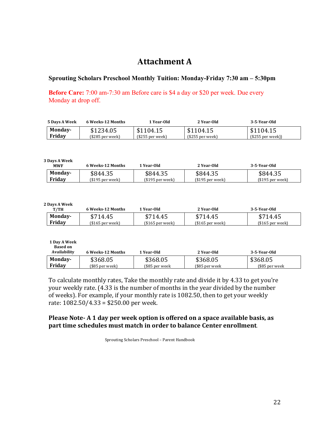# **Attachment A**

# **Sprouting Scholars Preschool Monthly Tuition: Monday-Friday 7:30 am – 5:30pm**

**Before Care:** 7:00 am-7:30 am Before care is \$4 a day or \$20 per week. Due every Monday at drop off.

| <b>5 Days A Week</b> | 6 Weeks-12 Months | 1 Year-Old        | 2 Year-Old        | 3-5-Year-Old          |
|----------------------|-------------------|-------------------|-------------------|-----------------------|
| Monday-              | \$1234.05         | \$1104.15         | \$1104.15         | \$1104.15             |
| Fridav               | $($285$ per week) | $(S255$ per week) | $(S255$ per week) | $($255$ per week $))$ |

**3 Days A Week**

| .<br><b>MWF</b> | 6 Weeks-12 Months | l Year-Old       | 2 Year-Old       | 3-5-Year-Old      |
|-----------------|-------------------|------------------|------------------|-------------------|
| Monday-         | \$844.35          | \$844.35         | \$844.35         | \$844.35          |
| Fridav          | (\$195 per week)  | (\$195 per week) | $$195$ per week) | $(S195$ per week) |

**2 Days A Week**

| . <i>D</i> uvjil II CCR<br>T/TH | 6 Weeks-12 Months | 1 Year-Old       | 2 Year-Old       | 3-5-Year-Old      |
|---------------------------------|-------------------|------------------|------------------|-------------------|
| Monday-                         | \$714.45          | \$714.45         | \$714.45         | \$714.45          |
| Fridav                          | (\$165 per week)  | (\$165 per week) | $$165$ per week) | $($165$ per week) |

| 1 Day A Week<br><b>Based on</b><br>Availability | 6 Weeks-12 Months | 1 Year-Old     | 2 Year-Old     | 3-5-Year-Old   |
|-------------------------------------------------|-------------------|----------------|----------------|----------------|
| Monday-                                         | \$368.05          | \$368.05       | \$368.05       | \$368.05       |
| Friday                                          | $($85$ per week)  | (\$85 per week | (\$85 per week | $$85$ per week |

To calculate monthly rates, Take the monthly rate and divide it by 4.33 to get you're your weekly rate.  $(4.33 \text{ is the number of months in the year divided by the number of months.$ of weeks). For example, if your monthly rate is 1082.50, then to get your weekly rate:  $1082.50/4.33 = $250.00$  per week.

# **Please Note-** A 1 day per week option is offered on a space available basis, as part time schedules must match in order to balance Center enrollment.

Sprouting Scholars Preschool - Parent Handbook